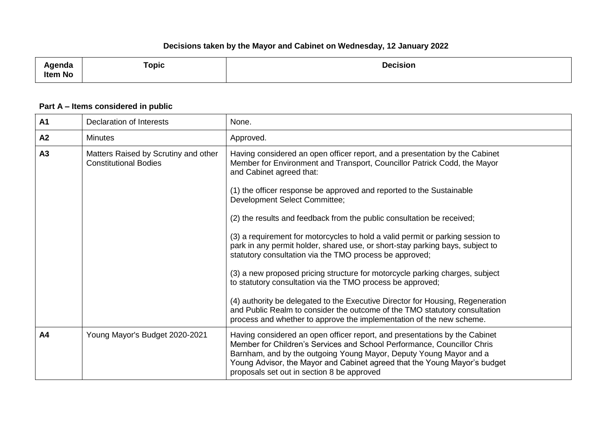| enua<br>ltem No | <b>Topic</b> | <b>Decision</b><br>. |
|-----------------|--------------|----------------------|
|                 |              |                      |

## **Part A – Items considered in public**

| A1 | <b>Declaration of Interests</b>                                      | None.                                                                                                                                                                                                                                                                                                                                                                                                                                                                                                                                                                                                                                                                                                                                              |
|----|----------------------------------------------------------------------|----------------------------------------------------------------------------------------------------------------------------------------------------------------------------------------------------------------------------------------------------------------------------------------------------------------------------------------------------------------------------------------------------------------------------------------------------------------------------------------------------------------------------------------------------------------------------------------------------------------------------------------------------------------------------------------------------------------------------------------------------|
| A2 | <b>Minutes</b>                                                       | Approved.                                                                                                                                                                                                                                                                                                                                                                                                                                                                                                                                                                                                                                                                                                                                          |
| A3 | Matters Raised by Scrutiny and other<br><b>Constitutional Bodies</b> | Having considered an open officer report, and a presentation by the Cabinet<br>Member for Environment and Transport, Councillor Patrick Codd, the Mayor<br>and Cabinet agreed that:<br>(1) the officer response be approved and reported to the Sustainable<br>Development Select Committee;<br>(2) the results and feedback from the public consultation be received;<br>(3) a requirement for motorcycles to hold a valid permit or parking session to<br>park in any permit holder, shared use, or short-stay parking bays, subject to<br>statutory consultation via the TMO process be approved;<br>(3) a new proposed pricing structure for motorcycle parking charges, subject<br>to statutory consultation via the TMO process be approved; |
|    |                                                                      | (4) authority be delegated to the Executive Director for Housing, Regeneration<br>and Public Realm to consider the outcome of the TMO statutory consultation<br>process and whether to approve the implementation of the new scheme.                                                                                                                                                                                                                                                                                                                                                                                                                                                                                                               |
| A4 | Young Mayor's Budget 2020-2021                                       | Having considered an open officer report, and presentations by the Cabinet<br>Member for Children's Services and School Performance, Councillor Chris<br>Barnham, and by the outgoing Young Mayor, Deputy Young Mayor and a<br>Young Advisor, the Mayor and Cabinet agreed that the Young Mayor's budget<br>proposals set out in section 8 be approved                                                                                                                                                                                                                                                                                                                                                                                             |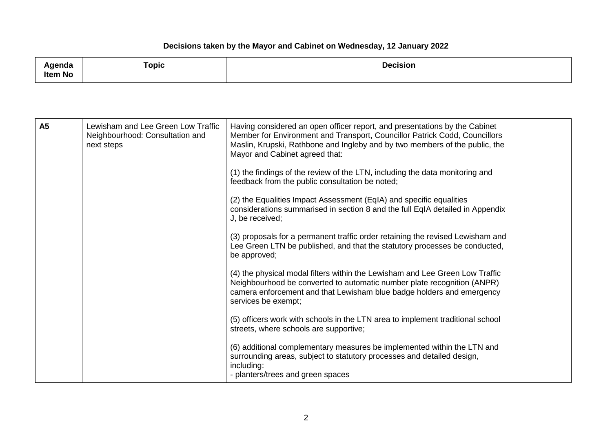| <b>\</b> aenda                                                                                                             | Topic | <b>Decision</b> |
|----------------------------------------------------------------------------------------------------------------------------|-------|-----------------|
| Item No<br>the contract of the contract of the contract of the contract of the contract of the contract of the contract of |       |                 |

| <b>A5</b> | Lewisham and Lee Green Low Traffic<br>Neighbourhood: Consultation and<br>next steps | Having considered an open officer report, and presentations by the Cabinet<br>Member for Environment and Transport, Councillor Patrick Codd, Councillors<br>Maslin, Krupski, Rathbone and Ingleby and by two members of the public, the<br>Mayor and Cabinet agreed that: |
|-----------|-------------------------------------------------------------------------------------|---------------------------------------------------------------------------------------------------------------------------------------------------------------------------------------------------------------------------------------------------------------------------|
|           |                                                                                     | (1) the findings of the review of the LTN, including the data monitoring and<br>feedback from the public consultation be noted;                                                                                                                                           |
|           |                                                                                     | (2) the Equalities Impact Assessment (EqIA) and specific equalities<br>considerations summarised in section 8 and the full EqIA detailed in Appendix<br>J, be received;                                                                                                   |
|           |                                                                                     | (3) proposals for a permanent traffic order retaining the revised Lewisham and<br>Lee Green LTN be published, and that the statutory processes be conducted,<br>be approved;                                                                                              |
|           |                                                                                     | (4) the physical modal filters within the Lewisham and Lee Green Low Traffic<br>Neighbourhood be converted to automatic number plate recognition (ANPR)<br>camera enforcement and that Lewisham blue badge holders and emergency<br>services be exempt;                   |
|           |                                                                                     | (5) officers work with schools in the LTN area to implement traditional school<br>streets, where schools are supportive;                                                                                                                                                  |
|           |                                                                                     | (6) additional complementary measures be implemented within the LTN and<br>surrounding areas, subject to statutory processes and detailed design,<br>including:<br>- planters/trees and green spaces                                                                      |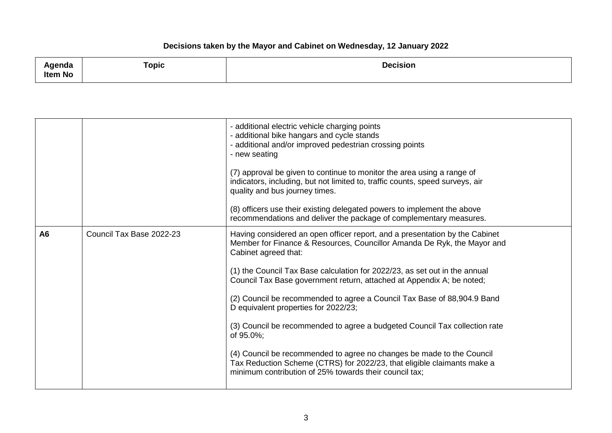| Agenda<br>$\cdot$ | ⊺opic | <b>Decision</b> |
|-------------------|-------|-----------------|
| Item No           |       |                 |

|                |                          | - additional electric vehicle charging points<br>- additional bike hangars and cycle stands<br>- additional and/or improved pedestrian crossing points<br>- new seating<br>(7) approval be given to continue to monitor the area using a range of<br>indicators, including, but not limited to, traffic counts, speed surveys, air<br>quality and bus journey times.<br>(8) officers use their existing delegated powers to implement the above<br>recommendations and deliver the package of complementary measures.                                                                                                                                                                                                                                             |
|----------------|--------------------------|-------------------------------------------------------------------------------------------------------------------------------------------------------------------------------------------------------------------------------------------------------------------------------------------------------------------------------------------------------------------------------------------------------------------------------------------------------------------------------------------------------------------------------------------------------------------------------------------------------------------------------------------------------------------------------------------------------------------------------------------------------------------|
| A <sub>6</sub> | Council Tax Base 2022-23 | Having considered an open officer report, and a presentation by the Cabinet<br>Member for Finance & Resources, Councillor Amanda De Ryk, the Mayor and<br>Cabinet agreed that:<br>(1) the Council Tax Base calculation for 2022/23, as set out in the annual<br>Council Tax Base government return, attached at Appendix A; be noted;<br>(2) Council be recommended to agree a Council Tax Base of 88,904.9 Band<br>D equivalent properties for 2022/23;<br>(3) Council be recommended to agree a budgeted Council Tax collection rate<br>of 95.0%;<br>(4) Council be recommended to agree no changes be made to the Council<br>Tax Reduction Scheme (CTRS) for 2022/23, that eligible claimants make a<br>minimum contribution of 25% towards their council tax; |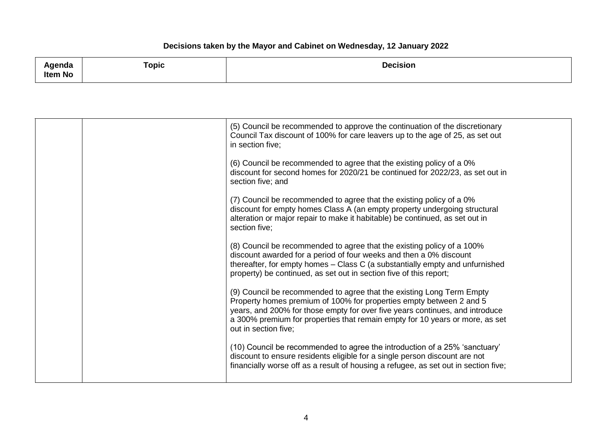| 1.2222<br>naa,<br>.<br><b>Item No</b> | ⊺opic | <b>Decision</b> |
|---------------------------------------|-------|-----------------|
|                                       |       |                 |

|  | (5) Council be recommended to approve the continuation of the discretionary<br>Council Tax discount of 100% for care leavers up to the age of 25, as set out<br>in section five;                                                                                                                                                     |
|--|--------------------------------------------------------------------------------------------------------------------------------------------------------------------------------------------------------------------------------------------------------------------------------------------------------------------------------------|
|  | (6) Council be recommended to agree that the existing policy of a 0%<br>discount for second homes for 2020/21 be continued for 2022/23, as set out in<br>section five; and                                                                                                                                                           |
|  | (7) Council be recommended to agree that the existing policy of a 0%<br>discount for empty homes Class A (an empty property undergoing structural<br>alteration or major repair to make it habitable) be continued, as set out in<br>section five;                                                                                   |
|  | (8) Council be recommended to agree that the existing policy of a 100%<br>discount awarded for a period of four weeks and then a 0% discount<br>thereafter, for empty homes - Class C (a substantially empty and unfurnished<br>property) be continued, as set out in section five of this report;                                   |
|  | (9) Council be recommended to agree that the existing Long Term Empty<br>Property homes premium of 100% for properties empty between 2 and 5<br>years, and 200% for those empty for over five years continues, and introduce<br>a 300% premium for properties that remain empty for 10 years or more, as set<br>out in section five; |
|  | (10) Council be recommended to agree the introduction of a 25% 'sanctuary'<br>discount to ensure residents eligible for a single person discount are not<br>financially worse off as a result of housing a refugee, as set out in section five;                                                                                      |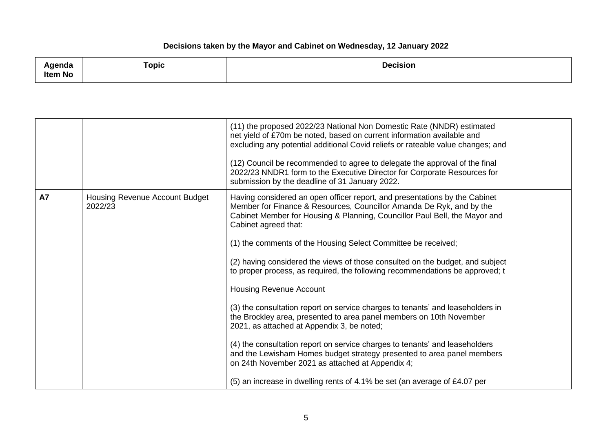| $\sim$<br>kgenaa | <b>Topic</b> | <b>Decision</b><br>. |
|------------------|--------------|----------------------|
| <b>Item No</b>   |              |                      |

|           |                                           | (11) the proposed 2022/23 National Non Domestic Rate (NNDR) estimated<br>net yield of £70m be noted, based on current information available and<br>excluding any potential additional Covid reliefs or rateable value changes; and<br>(12) Council be recommended to agree to delegate the approval of the final<br>2022/23 NNDR1 form to the Executive Director for Corporate Resources for<br>submission by the deadline of 31 January 2022.                                                                                                                                                                                                                                                                                                                                                                                                                                                                                                                                                                                |
|-----------|-------------------------------------------|-------------------------------------------------------------------------------------------------------------------------------------------------------------------------------------------------------------------------------------------------------------------------------------------------------------------------------------------------------------------------------------------------------------------------------------------------------------------------------------------------------------------------------------------------------------------------------------------------------------------------------------------------------------------------------------------------------------------------------------------------------------------------------------------------------------------------------------------------------------------------------------------------------------------------------------------------------------------------------------------------------------------------------|
| <b>A7</b> | Housing Revenue Account Budget<br>2022/23 | Having considered an open officer report, and presentations by the Cabinet<br>Member for Finance & Resources, Councillor Amanda De Ryk, and by the<br>Cabinet Member for Housing & Planning, Councillor Paul Bell, the Mayor and<br>Cabinet agreed that:<br>(1) the comments of the Housing Select Committee be received;<br>(2) having considered the views of those consulted on the budget, and subject<br>to proper process, as required, the following recommendations be approved; t<br><b>Housing Revenue Account</b><br>(3) the consultation report on service charges to tenants' and leaseholders in<br>the Brockley area, presented to area panel members on 10th November<br>2021, as attached at Appendix 3, be noted;<br>(4) the consultation report on service charges to tenants' and leaseholders<br>and the Lewisham Homes budget strategy presented to area panel members<br>on 24th November 2021 as attached at Appendix 4;<br>(5) an increase in dwelling rents of 4.1% be set (an average of £4.07 per |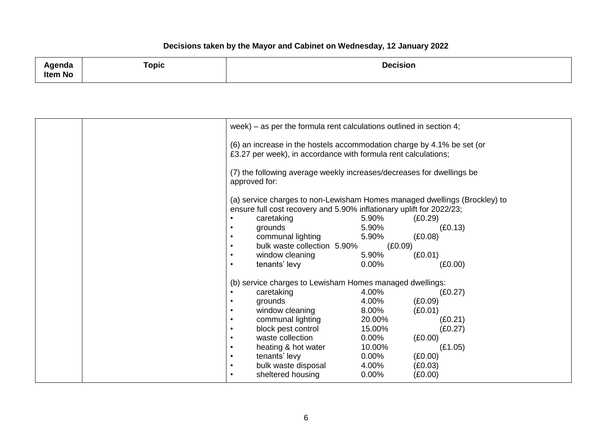| مامسمسا<br>enaa<br><b>Item No</b> | ⊺opic | <b>Decision</b> |
|-----------------------------------|-------|-----------------|
|                                   |       |                 |

|  |               | week) – as per the formula rent calculations outlined in section 4;                                                                      |          |                                                                           |  |
|--|---------------|------------------------------------------------------------------------------------------------------------------------------------------|----------|---------------------------------------------------------------------------|--|
|  |               | (6) an increase in the hostels accommodation charge by 4.1% be set (or<br>£3.27 per week), in accordance with formula rent calculations; |          |                                                                           |  |
|  | approved for: | (7) the following average weekly increases/decreases for dwellings be                                                                    |          |                                                                           |  |
|  |               | ensure full cost recovery and 5.90% inflationary uplift for 2022/23;                                                                     |          | (a) service charges to non-Lewisham Homes managed dwellings (Brockley) to |  |
|  | $\bullet$     | caretaking                                                                                                                               | 5.90%    | (E0.29)                                                                   |  |
|  | $\bullet$     | grounds                                                                                                                                  | 5.90%    | (E0.13)                                                                   |  |
|  | $\bullet$     | communal lighting                                                                                                                        | 5.90%    | (E0.08)                                                                   |  |
|  | $\bullet$     | bulk waste collection 5.90%                                                                                                              |          | (E0.09)                                                                   |  |
|  | $\bullet$     | window cleaning                                                                                                                          | 5.90%    | (E0.01)                                                                   |  |
|  | $\bullet$     | tenants' levy                                                                                                                            | $0.00\%$ | (E0.00)                                                                   |  |
|  |               | (b) service charges to Lewisham Homes managed dwellings:                                                                                 |          |                                                                           |  |
|  | $\bullet$     | caretaking                                                                                                                               | 4.00%    | (E0.27)                                                                   |  |
|  | $\bullet$     | grounds                                                                                                                                  | 4.00%    | (E0.09)                                                                   |  |
|  | $\bullet$     | window cleaning                                                                                                                          | 8.00%    | (E0.01)                                                                   |  |
|  | ٠             | communal lighting                                                                                                                        | 20.00%   | (E0.21)                                                                   |  |
|  | $\bullet$     | block pest control                                                                                                                       | 15.00%   | (E0.27)                                                                   |  |
|  | $\bullet$     | waste collection                                                                                                                         | $0.00\%$ | (E0.00)                                                                   |  |
|  | $\bullet$     | heating & hot water                                                                                                                      | 10.00%   | (E1.05)                                                                   |  |
|  | $\bullet$     | tenants' levy                                                                                                                            | $0.00\%$ | (E0.00)                                                                   |  |
|  | $\bullet$     | bulk waste disposal                                                                                                                      | 4.00%    | (E0.03)                                                                   |  |
|  | $\bullet$     | sheltered housing                                                                                                                        | $0.00\%$ | (E0.00)                                                                   |  |
|  |               |                                                                                                                                          |          |                                                                           |  |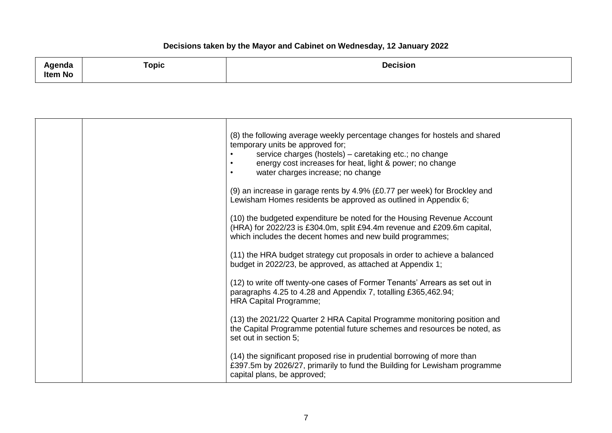| 1.2222<br>naa,<br>.<br><b>Item No</b> | ⊺opic | <b>Decision</b> |
|---------------------------------------|-------|-----------------|
|                                       |       |                 |

|  | (8) the following average weekly percentage changes for hostels and shared<br>temporary units be approved for;<br>service charges (hostels) - caretaking etc.; no change<br>energy cost increases for heat, light & power; no change<br>$\bullet$<br>water charges increase; no change |
|--|----------------------------------------------------------------------------------------------------------------------------------------------------------------------------------------------------------------------------------------------------------------------------------------|
|  | (9) an increase in garage rents by 4.9% (£0.77 per week) for Brockley and<br>Lewisham Homes residents be approved as outlined in Appendix 6;                                                                                                                                           |
|  | (10) the budgeted expenditure be noted for the Housing Revenue Account<br>(HRA) for 2022/23 is £304.0m, split £94.4m revenue and £209.6m capital,<br>which includes the decent homes and new build programmes;                                                                         |
|  | (11) the HRA budget strategy cut proposals in order to achieve a balanced<br>budget in 2022/23, be approved, as attached at Appendix 1;                                                                                                                                                |
|  | (12) to write off twenty-one cases of Former Tenants' Arrears as set out in<br>paragraphs 4.25 to 4.28 and Appendix 7, totalling £365,462.94;<br><b>HRA Capital Programme;</b>                                                                                                         |
|  | (13) the 2021/22 Quarter 2 HRA Capital Programme monitoring position and<br>the Capital Programme potential future schemes and resources be noted, as<br>set out in section 5;                                                                                                         |
|  | (14) the significant proposed rise in prudential borrowing of more than<br>£397.5m by 2026/27, primarily to fund the Building for Lewisham programme<br>capital plans, be approved;                                                                                                    |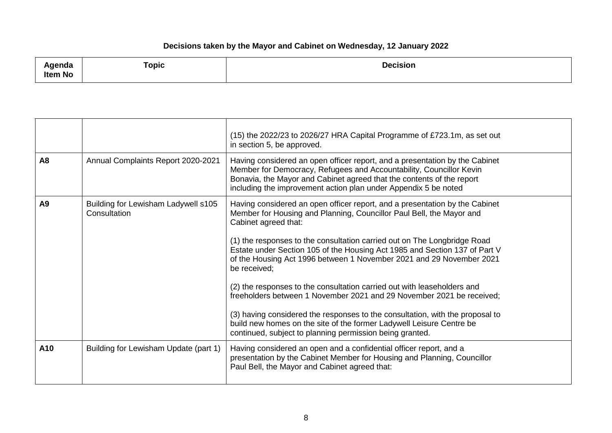| دام مرم بم ا<br>नापत<br><b>Item No</b><br>the contract of the contract of the contract of the contract of the contract of the contract of the contract of | Topic | <b>Decision</b> |
|-----------------------------------------------------------------------------------------------------------------------------------------------------------|-------|-----------------|
|-----------------------------------------------------------------------------------------------------------------------------------------------------------|-------|-----------------|

|                |                                                     | (15) the 2022/23 to 2026/27 HRA Capital Programme of £723.1m, as set out<br>in section 5, be approved.                                                                                                                                                                                                                                                                                                                                                                                                                                                                                                                                                                                                                                                                                                 |
|----------------|-----------------------------------------------------|--------------------------------------------------------------------------------------------------------------------------------------------------------------------------------------------------------------------------------------------------------------------------------------------------------------------------------------------------------------------------------------------------------------------------------------------------------------------------------------------------------------------------------------------------------------------------------------------------------------------------------------------------------------------------------------------------------------------------------------------------------------------------------------------------------|
| A <sub>8</sub> | Annual Complaints Report 2020-2021                  | Having considered an open officer report, and a presentation by the Cabinet<br>Member for Democracy, Refugees and Accountability, Councillor Kevin<br>Bonavia, the Mayor and Cabinet agreed that the contents of the report<br>including the improvement action plan under Appendix 5 be noted                                                                                                                                                                                                                                                                                                                                                                                                                                                                                                         |
| A <sub>9</sub> | Building for Lewisham Ladywell s105<br>Consultation | Having considered an open officer report, and a presentation by the Cabinet<br>Member for Housing and Planning, Councillor Paul Bell, the Mayor and<br>Cabinet agreed that:<br>(1) the responses to the consultation carried out on The Longbridge Road<br>Estate under Section 105 of the Housing Act 1985 and Section 137 of Part V<br>of the Housing Act 1996 between 1 November 2021 and 29 November 2021<br>be received;<br>(2) the responses to the consultation carried out with leaseholders and<br>freeholders between 1 November 2021 and 29 November 2021 be received;<br>(3) having considered the responses to the consultation, with the proposal to<br>build new homes on the site of the former Ladywell Leisure Centre be<br>continued, subject to planning permission being granted. |
| A10            | Building for Lewisham Update (part 1)               | Having considered an open and a confidential officer report, and a<br>presentation by the Cabinet Member for Housing and Planning, Councillor<br>Paul Bell, the Mayor and Cabinet agreed that:                                                                                                                                                                                                                                                                                                                                                                                                                                                                                                                                                                                                         |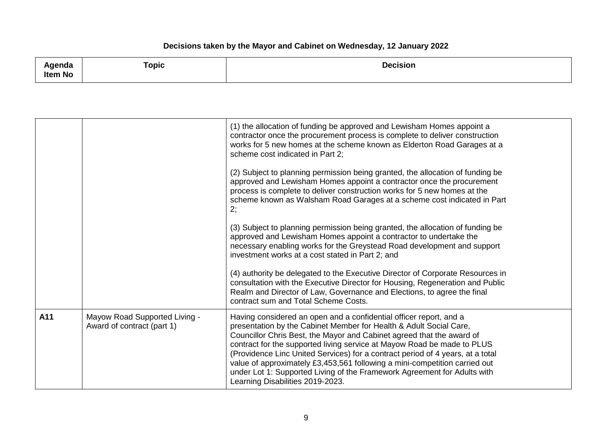| $1 - 1 - 1 - 1$<br>naa,<br><b>Item No</b>                                       | ⊺opic | <b>Decision</b><br>. |
|---------------------------------------------------------------------------------|-------|----------------------|
| the contract of the contract of the contract of the contract of the contract of |       |                      |

|     |                                                             | (1) the allocation of funding be approved and Lewisham Homes appoint a<br>contractor once the procurement process is complete to deliver construction<br>works for 5 new homes at the scheme known as Elderton Road Garages at a<br>scheme cost indicated in Part 2;                                                                                                                                                                                                                                                                                                         |
|-----|-------------------------------------------------------------|------------------------------------------------------------------------------------------------------------------------------------------------------------------------------------------------------------------------------------------------------------------------------------------------------------------------------------------------------------------------------------------------------------------------------------------------------------------------------------------------------------------------------------------------------------------------------|
|     |                                                             | (2) Subject to planning permission being granted, the allocation of funding be<br>approved and Lewisham Homes appoint a contractor once the procurement<br>process is complete to deliver construction works for 5 new homes at the<br>scheme known as Walsham Road Garages at a scheme cost indicated in Part<br>2;                                                                                                                                                                                                                                                         |
|     |                                                             | (3) Subject to planning permission being granted, the allocation of funding be<br>approved and Lewisham Homes appoint a contractor to undertake the<br>necessary enabling works for the Greystead Road development and support<br>investment works at a cost stated in Part 2; and                                                                                                                                                                                                                                                                                           |
|     |                                                             | (4) authority be delegated to the Executive Director of Corporate Resources in<br>consultation with the Executive Director for Housing, Regeneration and Public<br>Realm and Director of Law, Governance and Elections, to agree the final<br>contract sum and Total Scheme Costs.                                                                                                                                                                                                                                                                                           |
| A11 | Mayow Road Supported Living -<br>Award of contract (part 1) | Having considered an open and a confidential officer report, and a<br>presentation by the Cabinet Member for Health & Adult Social Care,<br>Councillor Chris Best, the Mayor and Cabinet agreed that the award of<br>contract for the supported living service at Mayow Road be made to PLUS<br>(Providence Linc United Services) for a contract period of 4 years, at a total<br>value of approximately £3,453,561 following a mini-competition carried out<br>under Lot 1: Supported Living of the Framework Agreement for Adults with<br>Learning Disabilities 2019-2023. |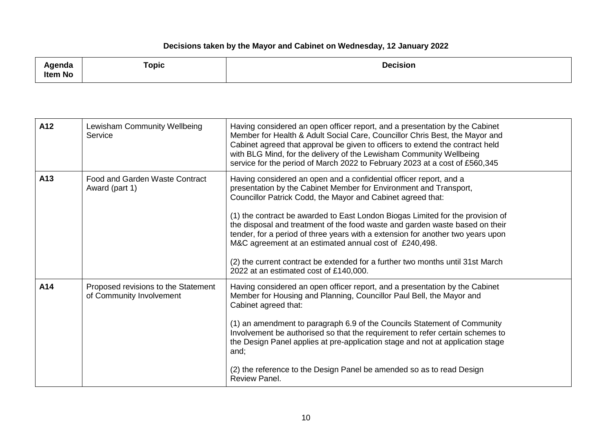| <b>\genda</b><br>ັ<br>Item No | Topic | <b>Decision</b> |
|-------------------------------|-------|-----------------|
|                               |       |                 |

| A12 | Lewisham Community Wellbeing<br>Service                         | Having considered an open officer report, and a presentation by the Cabinet<br>Member for Health & Adult Social Care, Councillor Chris Best, the Mayor and<br>Cabinet agreed that approval be given to officers to extend the contract held<br>with BLG Mind, for the delivery of the Lewisham Community Wellbeing<br>service for the period of March 2022 to February 2023 at a cost of £560,345                                                                                                                                                                                                                                                 |
|-----|-----------------------------------------------------------------|---------------------------------------------------------------------------------------------------------------------------------------------------------------------------------------------------------------------------------------------------------------------------------------------------------------------------------------------------------------------------------------------------------------------------------------------------------------------------------------------------------------------------------------------------------------------------------------------------------------------------------------------------|
| A13 | Food and Garden Waste Contract<br>Award (part 1)                | Having considered an open and a confidential officer report, and a<br>presentation by the Cabinet Member for Environment and Transport,<br>Councillor Patrick Codd, the Mayor and Cabinet agreed that:<br>(1) the contract be awarded to East London Biogas Limited for the provision of<br>the disposal and treatment of the food waste and garden waste based on their<br>tender, for a period of three years with a extension for another two years upon<br>M&C agreement at an estimated annual cost of £240,498.<br>(2) the current contract be extended for a further two months until 31st March<br>2022 at an estimated cost of £140,000. |
| A14 | Proposed revisions to the Statement<br>of Community Involvement | Having considered an open officer report, and a presentation by the Cabinet<br>Member for Housing and Planning, Councillor Paul Bell, the Mayor and<br>Cabinet agreed that:<br>(1) an amendment to paragraph 6.9 of the Councils Statement of Community<br>Involvement be authorised so that the requirement to refer certain schemes to<br>the Design Panel applies at pre-application stage and not at application stage<br>and;<br>(2) the reference to the Design Panel be amended so as to read Design<br>Review Panel.                                                                                                                      |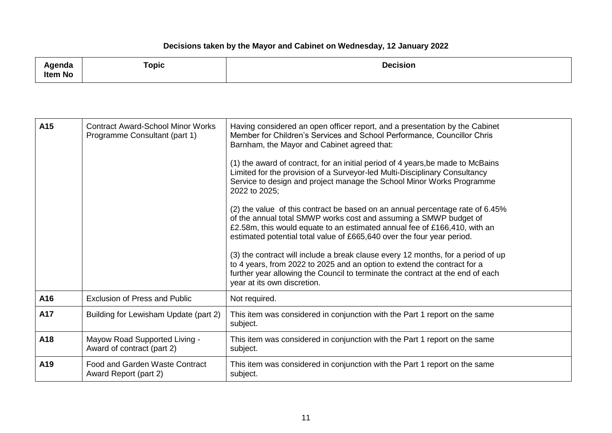| <b>\qenda</b> | ⊺opic<br>the contract of the contract of the contract of | <b>Decision</b> |
|---------------|----------------------------------------------------------|-----------------|
| Item No       |                                                          |                 |

| A15 | <b>Contract Award-School Minor Works</b><br>Programme Consultant (part 1) | Having considered an open officer report, and a presentation by the Cabinet<br>Member for Children's Services and School Performance, Councillor Chris<br>Barnham, the Mayor and Cabinet agreed that:<br>(1) the award of contract, for an initial period of 4 years, be made to McBains<br>Limited for the provision of a Surveyor-led Multi-Disciplinary Consultancy<br>Service to design and project manage the School Minor Works Programme<br>2022 to 2025;<br>(2) the value of this contract be based on an annual percentage rate of 6.45%<br>of the annual total SMWP works cost and assuming a SMWP budget of<br>£2.58m, this would equate to an estimated annual fee of £166,410, with an<br>estimated potential total value of £665,640 over the four year period.<br>(3) the contract will include a break clause every 12 months, for a period of up<br>to 4 years, from 2022 to 2025 and an option to extend the contract for a<br>further year allowing the Council to terminate the contract at the end of each<br>year at its own discretion. |
|-----|---------------------------------------------------------------------------|----------------------------------------------------------------------------------------------------------------------------------------------------------------------------------------------------------------------------------------------------------------------------------------------------------------------------------------------------------------------------------------------------------------------------------------------------------------------------------------------------------------------------------------------------------------------------------------------------------------------------------------------------------------------------------------------------------------------------------------------------------------------------------------------------------------------------------------------------------------------------------------------------------------------------------------------------------------------------------------------------------------------------------------------------------------|
| A16 | <b>Exclusion of Press and Public</b>                                      | Not required.                                                                                                                                                                                                                                                                                                                                                                                                                                                                                                                                                                                                                                                                                                                                                                                                                                                                                                                                                                                                                                                  |
| A17 | Building for Lewisham Update (part 2)                                     | This item was considered in conjunction with the Part 1 report on the same<br>subject.                                                                                                                                                                                                                                                                                                                                                                                                                                                                                                                                                                                                                                                                                                                                                                                                                                                                                                                                                                         |
| A18 | Mayow Road Supported Living -<br>Award of contract (part 2)               | This item was considered in conjunction with the Part 1 report on the same<br>subject.                                                                                                                                                                                                                                                                                                                                                                                                                                                                                                                                                                                                                                                                                                                                                                                                                                                                                                                                                                         |
| A19 | Food and Garden Waste Contract<br>Award Report (part 2)                   | This item was considered in conjunction with the Part 1 report on the same<br>subject.                                                                                                                                                                                                                                                                                                                                                                                                                                                                                                                                                                                                                                                                                                                                                                                                                                                                                                                                                                         |